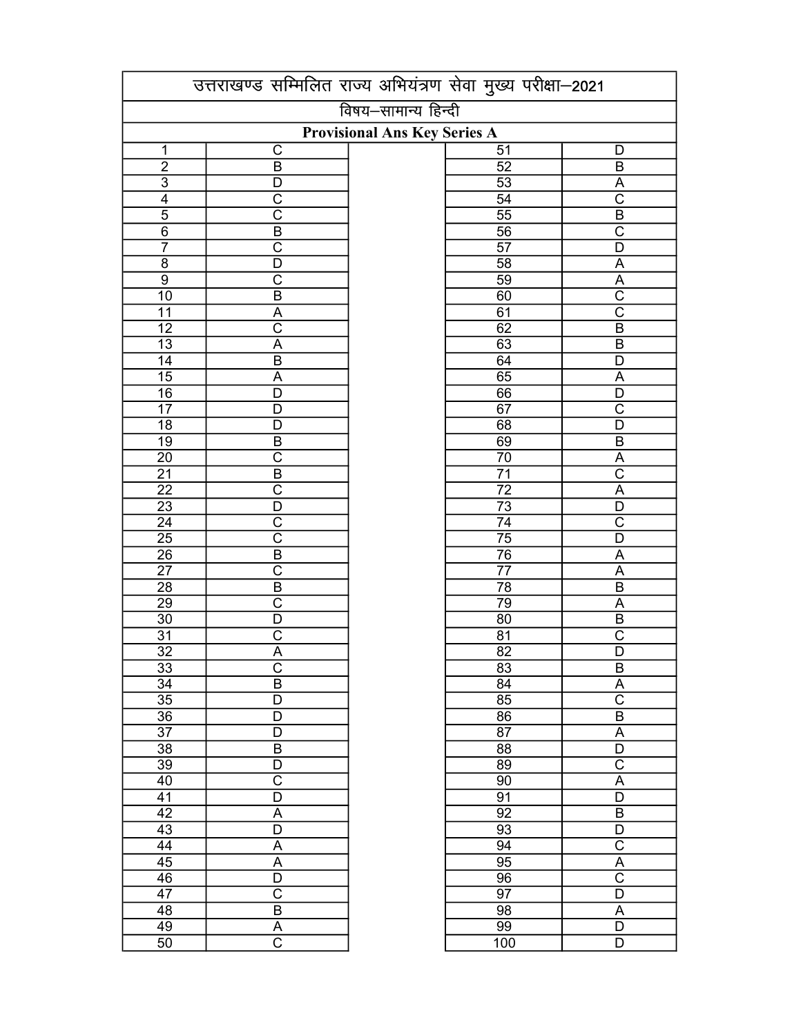|                 | उत्तराखण्ड सम्मिलित राज्य अभियंत्रण सेवा मुख्य परीक्षा-2021 |                     |                 |                         |  |  |  |  |
|-----------------|-------------------------------------------------------------|---------------------|-----------------|-------------------------|--|--|--|--|
|                 |                                                             | विषय-सामान्य हिन्दी |                 |                         |  |  |  |  |
|                 | <b>Provisional Ans Key Series A</b>                         |                     |                 |                         |  |  |  |  |
| $\mathbf 1$     | $\mathsf C$                                                 |                     | $\overline{51}$ | D                       |  |  |  |  |
| $\overline{2}$  | $\overline{B}$                                              |                     | $\overline{52}$ | $\overline{B}$          |  |  |  |  |
| $\overline{3}$  | D                                                           |                     | $\overline{53}$ | A                       |  |  |  |  |
| $\overline{4}$  | $\overline{\text{c}}$                                       |                     | $\overline{54}$ | $\overline{\text{c}}$   |  |  |  |  |
| $\overline{5}$  | $\overline{\text{c}}$                                       |                     | $\overline{55}$ | $\overline{B}$          |  |  |  |  |
| $\overline{6}$  | $\overline{B}$                                              |                     | $\overline{56}$ | $\overline{\text{c}}$   |  |  |  |  |
| $\overline{7}$  | $\overline{\text{c}}$                                       |                     | $\overline{57}$ | $\overline{\mathsf{D}}$ |  |  |  |  |
| $\overline{8}$  | $\overline{\mathsf{D}}$                                     |                     | $\overline{58}$ | $\underline{A}$         |  |  |  |  |
| $\overline{9}$  | $\overline{\text{c}}$                                       |                     | 59              | $rac{A}{C}$             |  |  |  |  |
| $\overline{10}$ | $\overline{B}$                                              |                     | 60              |                         |  |  |  |  |
| $\overline{11}$ | $\overline{A}$                                              |                     | $\overline{61}$ | $\overline{\text{c}}$   |  |  |  |  |
| $\overline{12}$ | $\overline{\text{c}}$                                       |                     | 62              | $\overline{B}$          |  |  |  |  |
| $\overline{13}$ | $\overline{\mathsf{A}}$                                     |                     | 63              | $\overline{\mathsf{B}}$ |  |  |  |  |
| 14              | $\overline{B}$                                              |                     | 64              | $\overline{D}$          |  |  |  |  |
| $\overline{15}$ | $\overline{\mathsf{A}}$                                     |                     | $\overline{65}$ | $\overline{A}$          |  |  |  |  |
| $\overline{16}$ | $\overline{D}$                                              |                     | 66              | $\overline{\mathsf{D}}$ |  |  |  |  |
| $\overline{17}$ | $\overline{D}$                                              |                     | $\overline{67}$ | $\overline{\text{c}}$   |  |  |  |  |
| $\overline{18}$ | $\overline{D}$                                              |                     | 68              | $\overline{D}$          |  |  |  |  |
| $\overline{19}$ | $\overline{B}$                                              |                     | 69              | $\overline{B}$          |  |  |  |  |
| 20              | $\overline{\text{c}}$                                       |                     | 70              | $\overline{A}$          |  |  |  |  |
| $\overline{21}$ | $\overline{B}$                                              |                     | $\overline{71}$ | $\overline{\text{c}}$   |  |  |  |  |
| $\overline{22}$ | $\overline{\text{c}}$                                       |                     | $\overline{72}$ | $\overline{A}$          |  |  |  |  |
| $\overline{23}$ | $\overline{\mathsf{D}}$                                     |                     |                 | $\overline{D}$          |  |  |  |  |
| $\overline{24}$ | $\overline{\text{c}}$                                       |                     | $\frac{73}{74}$ | $\overline{\text{c}}$   |  |  |  |  |
| $\overline{25}$ | $\overline{\text{c}}$                                       |                     |                 | $\overline{\mathsf{D}}$ |  |  |  |  |
| $\overline{26}$ | $\overline{\mathsf{B}}$                                     |                     | $\frac{75}{76}$ | $\overline{A}$          |  |  |  |  |
| $\overline{27}$ | $\overline{\text{c}}$                                       |                     | $\overline{77}$ | $\overline{A}$          |  |  |  |  |
| 28              | $\overline{B}$                                              |                     | 78              | $\overline{B}$          |  |  |  |  |
| 29              | $\overline{\text{c}}$                                       |                     | 79              | $\overline{A}$          |  |  |  |  |
| $\overline{30}$ | D                                                           |                     | $\overline{80}$ | $\overline{B}$          |  |  |  |  |
| 31              | C                                                           |                     | 81              | $\overline{\text{c}}$   |  |  |  |  |
| $\overline{32}$ | $\overline{\mathsf{A}}$                                     |                     | $\overline{82}$ | $\overline{\mathsf{D}}$ |  |  |  |  |
| 33              | $\mathsf C$                                                 |                     | 83              | $\sf B$                 |  |  |  |  |
| $\overline{34}$ | $\overline{\mathsf{B}}$                                     |                     | 84              | $\overline{\mathsf{A}}$ |  |  |  |  |
| $\overline{35}$ | $\overline{\mathsf{D}}$                                     |                     | 85              | $\overline{\text{c}}$   |  |  |  |  |
| $\overline{36}$ | $\overline{\mathsf{D}}$                                     |                     | $\overline{86}$ | $\overline{B}$          |  |  |  |  |
| $\overline{37}$ | $\overline{D}$                                              |                     | $\overline{87}$ | $\overline{A}$          |  |  |  |  |
| $\overline{38}$ | $\overline{B}$                                              |                     | $\overline{88}$ | $\overline{\mathsf{D}}$ |  |  |  |  |
| $\overline{39}$ | $\overline{D}$                                              |                     | 89              | $\overline{\text{C}}$   |  |  |  |  |
| 40              | $\overline{\text{c}}$                                       |                     | $\overline{90}$ | $\overline{A}$          |  |  |  |  |
| $\overline{41}$ | $\overline{\mathsf{D}}$                                     |                     | $\overline{91}$ | $\overline{D}$          |  |  |  |  |
| $\overline{42}$ | A                                                           |                     | $\overline{92}$ | $\overline{B}$          |  |  |  |  |
| 43              | $\overline{D}$                                              |                     | 93              | $\overline{D}$          |  |  |  |  |
| $\overline{44}$ | A                                                           |                     | $\overline{94}$ | $\overline{\text{c}}$   |  |  |  |  |
| 45              | $\overline{A}$                                              |                     | 95              | $\overline{A}$          |  |  |  |  |
| 46              | $\overline{\mathsf{D}}$                                     |                     | 96              | $\overline{\text{c}}$   |  |  |  |  |
| 47              | $\overline{\text{C}}$                                       |                     | 97              | D                       |  |  |  |  |
| 48              | $\overline{B}$                                              |                     | 98              | A                       |  |  |  |  |
| 49              | A                                                           |                     | 99              | D                       |  |  |  |  |
| $\overline{50}$ | $\overline{\text{c}}$                                       |                     | 100             | D                       |  |  |  |  |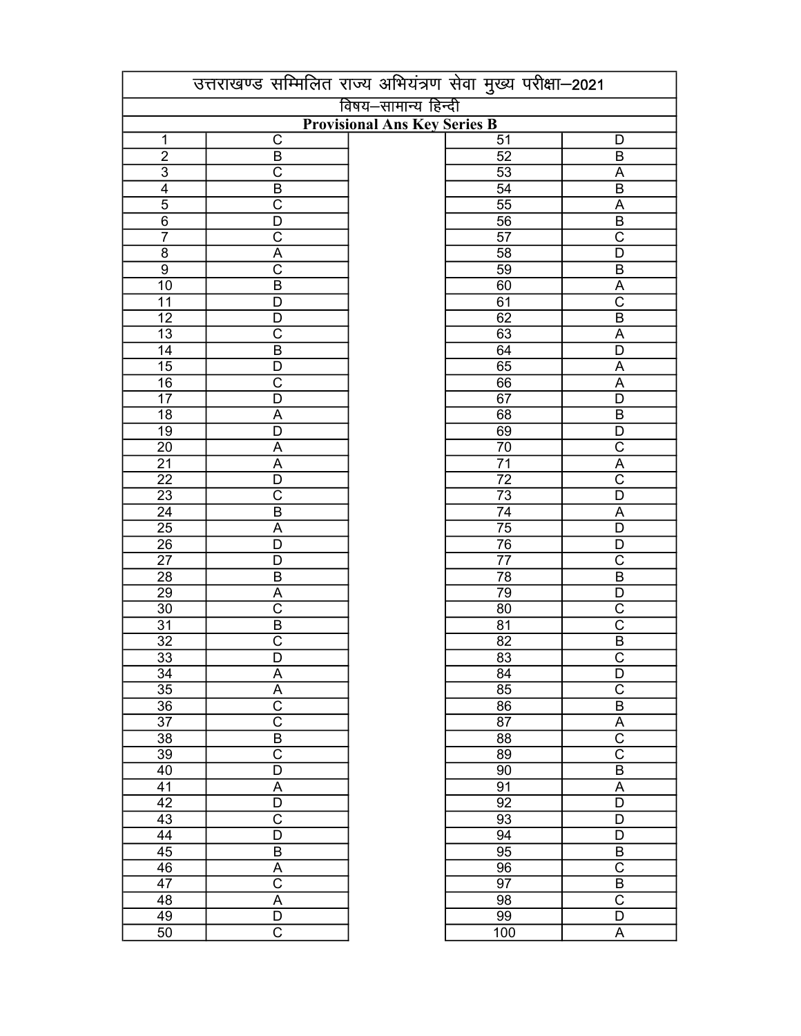|                 |                            | उत्तराखण्ड सम्मिलित राज्य अभियंत्रण सेवा मुख्य परीक्षा-2021 |                         |
|-----------------|----------------------------|-------------------------------------------------------------|-------------------------|
|                 |                            | विषय–सामान्य हिन्दी                                         |                         |
|                 |                            | <b>Provisional Ans Key Series B</b>                         |                         |
| 1               | C                          | $\overline{51}$                                             | D                       |
| $\overline{2}$  | $\overline{B}$             | $\overline{52}$                                             | $\sf B$                 |
| $\overline{3}$  | $\overline{\text{c}}$      | $\overline{53}$                                             | $\overline{A}$          |
| $\overline{4}$  | $\overline{B}$             | $\overline{54}$                                             | $\overline{B}$          |
| $\overline{5}$  | $\overline{\text{c}}$      | $\overline{55}$                                             | $\overline{A}$          |
| $\overline{6}$  | $\overline{\mathsf{D}}$    | $\overline{56}$                                             | $\overline{B}$          |
| $\overline{7}$  | $\overline{\text{c}}$      | $\overline{57}$                                             | $\overline{\text{C}}$   |
| $\overline{8}$  | $\overline{A}$             | $\overline{58}$                                             | $\overline{\mathsf{D}}$ |
| $\overline{9}$  | $\overline{\text{c}}$      | $\overline{59}$                                             | $\overline{B}$          |
| $\overline{10}$ | $\overline{\mathsf{B}}$    | 60                                                          | $\overline{A}$          |
| $\overline{11}$ | $\overline{D}$             | $\overline{61}$                                             | $\overline{\text{c}}$   |
| $\overline{12}$ | $\overline{D}$             | 62                                                          | $\overline{B}$          |
| $\overline{13}$ | $\overline{\text{c}}$      | 63                                                          | $\overline{A}$          |
| $\overline{14}$ | $\overline{B}$             | 64                                                          | $\overline{D}$          |
| 15              | $\overline{\mathsf{D}}$    | 65                                                          | $\overline{A}$          |
| 16              | $\overline{C}$             | 66                                                          | A                       |
| $\overline{17}$ | $\overline{\mathsf{D}}$    | 67                                                          | $\overline{D}$          |
|                 |                            |                                                             |                         |
| $\overline{18}$ | A                          | 68                                                          | $\overline{B}$          |
| $\overline{19}$ | D                          | 69                                                          | D                       |
| $\overline{20}$ | A                          | 70                                                          | $\overline{\text{c}}$   |
| $\overline{21}$ | $\overline{A}$             | $\overline{71}$                                             | $\overline{A}$          |
| $\overline{22}$ | D                          | $\overline{72}$                                             | $\overline{\text{c}}$   |
| $\overline{23}$ | $\overline{\text{c}}$      | $\overline{73}$                                             | $\overline{D}$          |
| $\overline{24}$ | $\overline{B}$             | $\overline{74}$                                             | A                       |
| $\overline{25}$ | A                          | $\overline{75}$                                             | $\overline{D}$          |
| $\frac{1}{26}$  | D                          | $\overline{76}$                                             | $\overline{D}$          |
| $\overline{27}$ | D                          | $\overline{77}$                                             | $\overline{\text{c}}$   |
| $\overline{28}$ | $\overline{B}$             | $\overline{78}$                                             | $\overline{B}$          |
| 29              | A                          | 79                                                          | $\overline{D}$          |
| $\overline{30}$ | $\overline{\text{c}}$      | 80                                                          | $\overline{\text{c}}$   |
| $\overline{31}$ | $\overline{B}$             | $\overline{81}$                                             | $\overline{\text{c}}$   |
| $\overline{32}$ | $\overline{\text{c}}$      | $\overline{82}$                                             | $\overline{\mathsf{B}}$ |
| $\overline{33}$ | $\overline{\mathsf{D}}$    | $\overline{83}$                                             | $\overline{\text{c}}$   |
| 34              |                            | 84                                                          | D                       |
| 35              | Α                          |                                                             | $\overline{\mathsf{C}}$ |
|                 | A<br>$\overline{\text{c}}$ | 85                                                          |                         |
| 36              |                            | 86                                                          | $\overline{B}$          |
| 37              | $\overline{\text{c}}$      | 87                                                          | $\overline{A}$          |
| $\overline{38}$ | $\overline{B}$             | 88                                                          | $\overline{\text{c}}$   |
| $\overline{39}$ | $\overline{\text{c}}$      | 89                                                          | $\overline{\text{c}}$   |
| 40              | $\overline{D}$             | 90                                                          | $\overline{B}$          |
| 41              | A                          | 91                                                          | A                       |
| $\overline{42}$ | $\overline{D}$             | 92                                                          | $\overline{\mathsf{D}}$ |
| $\overline{43}$ | $\overline{\text{c}}$      | 93                                                          | D                       |
| $\overline{44}$ | $\overline{D}$             | 94                                                          | $\overline{D}$          |
| 45              | $\overline{B}$             | $\overline{95}$                                             | $\overline{B}$          |
| 46              | $\underline{A}$            | 96                                                          | $\overline{\text{c}}$   |
| 47              | $\overline{\text{c}}$      | 97                                                          | $\sf B$                 |
| 48              | $\overline{A}$             | 98                                                          | $\overline{\text{c}}$   |
| 49              | $\overline{D}$             | 99                                                          | D                       |
| $\overline{50}$ | $\overline{\text{C}}$      | 100                                                         | $\mathsf A$             |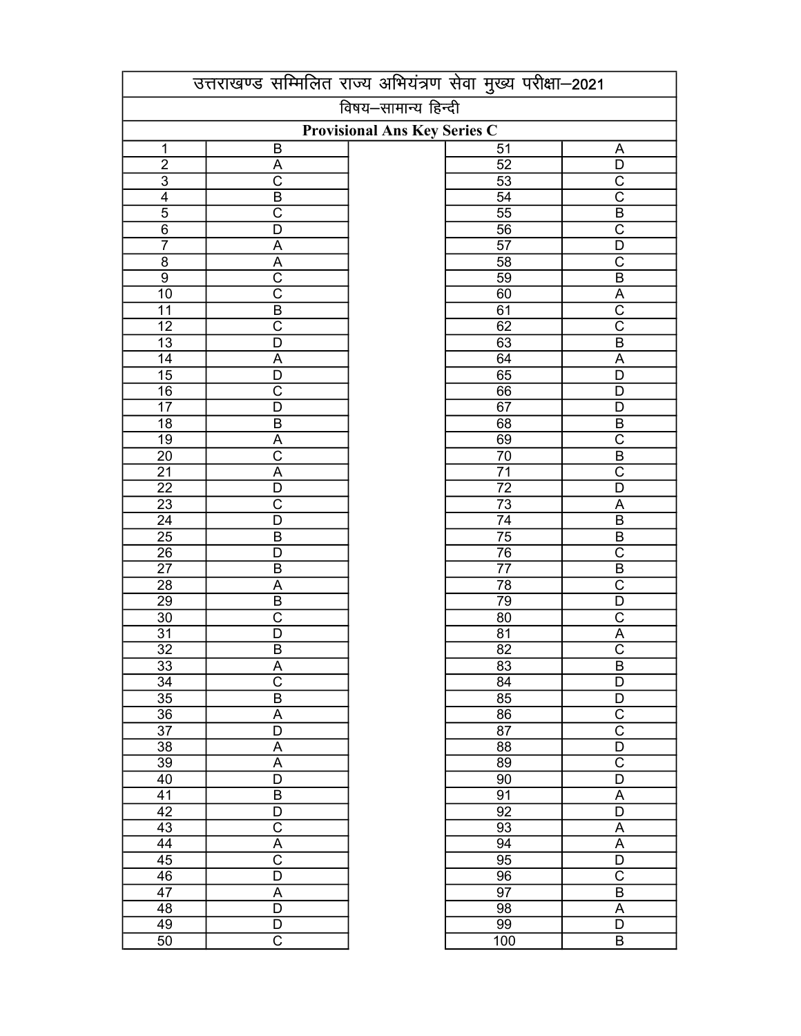|                                    |                                     | उत्तराखण्ड सम्मिलित राज्य अभियंत्रण सेवा मुख्य परीक्षा-2021 |                          |  |  |  |  |
|------------------------------------|-------------------------------------|-------------------------------------------------------------|--------------------------|--|--|--|--|
|                                    |                                     | विषय-सामान्य हिन्दी                                         |                          |  |  |  |  |
|                                    | <b>Provisional Ans Key Series C</b> |                                                             |                          |  |  |  |  |
| $\mathbf 1$                        | B                                   | $\overline{51}$                                             | A                        |  |  |  |  |
| $\overline{2}$                     | A                                   | 52                                                          | $\overline{D}$           |  |  |  |  |
| $\overline{3}$                     | $\overline{\text{c}}$               | 53                                                          | $\overline{\text{c}}$    |  |  |  |  |
| $\overline{4}$                     | $\overline{B}$                      | $\overline{54}$                                             | $\overline{\text{c}}$    |  |  |  |  |
| $\overline{5}$                     | $\overline{\text{c}}$               | $\overline{55}$                                             | $\overline{B}$           |  |  |  |  |
| $\overline{6}$                     | $\overline{\mathsf{D}}$             | $\overline{56}$                                             | $\overline{\text{c}}$    |  |  |  |  |
| $\overline{7}$                     | A                                   | $\overline{57}$                                             | $\overline{D}$           |  |  |  |  |
| $rac{8}{9}$                        | $\frac{\overline{A}}{C}$            | $\overline{58}$                                             | $\overline{\text{c}}$    |  |  |  |  |
|                                    |                                     | $\overline{59}$                                             | $\overline{B}$           |  |  |  |  |
| $\overline{10}$                    | $\overline{\text{c}}$               | 60                                                          | $rac{A}{C}$              |  |  |  |  |
| $\overline{11}$                    | $\overline{B}$                      | 61                                                          |                          |  |  |  |  |
| $\overline{12}$                    | $\overline{\text{c}}$               | 62                                                          | $\overline{\text{c}}$    |  |  |  |  |
| $\overline{13}$                    | $\overline{\mathsf{D}}$             | 63                                                          | $\overline{B}$           |  |  |  |  |
| $\overline{14}$                    | A                                   | 64                                                          | $\overline{A}$           |  |  |  |  |
| $\overline{15}$                    | $\overline{\mathsf{D}}$             | 65                                                          | $\overline{\mathsf{D}}$  |  |  |  |  |
| $\overline{16}$                    | $\overline{\text{c}}$               | 66                                                          | $\overline{D}$           |  |  |  |  |
| $\overline{17}$                    | $\overline{\mathsf{D}}$             | 67                                                          | $\overline{\mathsf{D}}$  |  |  |  |  |
| $\overline{18}$                    | $\overline{B}$                      | 68                                                          | $\overline{B}$           |  |  |  |  |
| $\overline{19}$                    | A                                   | 69                                                          | $\overline{\text{c}}$    |  |  |  |  |
| $\overline{20}$                    | $\overline{\text{c}}$               | $\overline{70}$                                             | $\overline{B}$           |  |  |  |  |
| $\overline{21}$                    | $\overline{A}$                      | $\overline{71}$                                             | $\overline{\text{c}}$    |  |  |  |  |
| $\overline{22}$                    | D                                   | $\overline{72}$                                             | $\overline{D}$           |  |  |  |  |
| $\overline{23}$                    | $\overline{\text{c}}$               | $\overline{73}$                                             | $\overline{A}$           |  |  |  |  |
| $\overline{24}$                    | D                                   | $\overline{74}$                                             | $\overline{B}$           |  |  |  |  |
| $\frac{25}{26}$<br>$\frac{26}{27}$ | B                                   | $\frac{75}{76}$                                             | $\overline{B}$           |  |  |  |  |
|                                    | D                                   |                                                             | $\overline{C}$           |  |  |  |  |
|                                    | $\overline{B}$                      |                                                             | $\frac{\overline{B}}{C}$ |  |  |  |  |
| $\overline{28}$                    | Α                                   | 78                                                          |                          |  |  |  |  |
| $\overline{29}$                    | $\overline{B}$                      | 79                                                          | $\overline{D}$           |  |  |  |  |
| $\overline{30}$                    | $\overline{\text{c}}$               | 80                                                          | $\overline{C}$           |  |  |  |  |
| $\overline{31}$                    | D                                   | 81                                                          | $\overline{A}$           |  |  |  |  |
| $\overline{32}$                    | $\overline{B}$                      | $\overline{82}$                                             | $\overline{\text{c}}$    |  |  |  |  |
| 33                                 |                                     | 83                                                          | B                        |  |  |  |  |
| 34                                 | $rac{A}{C}$                         | 84                                                          | D                        |  |  |  |  |
| 35                                 | $\overline{\mathsf{B}}$             | 85                                                          | D                        |  |  |  |  |
| 36                                 | $\overline{A}$                      | $\overline{86}$                                             | $\overline{\text{c}}$    |  |  |  |  |
| $\overline{37}$                    | $\overline{\mathsf{D}}$             | 87                                                          | $\overline{\text{c}}$    |  |  |  |  |
| $\overline{38}$                    | $\overline{A}$                      | $\overline{88}$                                             | $\overline{\mathsf{D}}$  |  |  |  |  |
| $\overline{39}$                    | $\overline{A}$                      | $\overline{89}$                                             | $\overline{\text{c}}$    |  |  |  |  |
| 40                                 | $\overline{\mathsf{D}}$             | $\overline{90}$                                             | $\overline{\mathsf{D}}$  |  |  |  |  |
| $\overline{41}$                    | $\overline{B}$                      | $\overline{91}$                                             | A                        |  |  |  |  |
| $\overline{42}$                    | $\overline{\mathsf{D}}$             | $\overline{92}$                                             | $\overline{\mathsf{D}}$  |  |  |  |  |
| 43                                 | $\overline{\text{c}}$               | $\overline{93}$                                             | $\overline{A}$           |  |  |  |  |
| $\overline{44}$                    | $\overline{A}$                      | $\overline{94}$                                             | $\overline{A}$           |  |  |  |  |
| 45                                 | $\overline{\text{c}}$               | $\overline{95}$                                             | $\overline{D}$           |  |  |  |  |
| 46                                 | $\overline{\mathsf{D}}$             | $\overline{96}$                                             | $\overline{\text{c}}$    |  |  |  |  |
| 47                                 | A                                   | 97                                                          | $\overline{B}$           |  |  |  |  |
| 48                                 | $\overline{D}$                      | 98                                                          | $\overline{\mathsf{A}}$  |  |  |  |  |
| 49                                 | D                                   | 99                                                          | D                        |  |  |  |  |
| $\overline{50}$                    | $\overline{\text{c}}$               | 100                                                         | $\overline{B}$           |  |  |  |  |